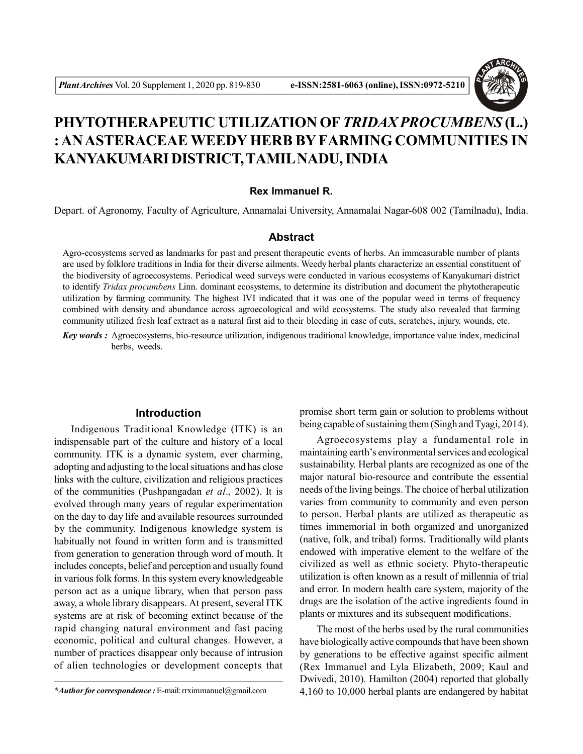

# **PHYTOTHERAPEUTIC UTILIZATION OF***TRIDAX PROCUMBENS* **(L.) : AN ASTERACEAE WEEDY HERB BY FARMING COMMUNITIES IN KANYAKUMARI DISTRICT, TAMIL NADU, INDIA**

## **Rex Immanuel R.**

Depart. of Agronomy, Faculty of Agriculture, Annamalai University, Annamalai Nagar-608 002 (Tamilnadu), India.

# **Abstract**

Agro-ecosystems served as landmarks for past and present therapeutic events of herbs. An immeasurable number of plants are used by folklore traditions in India for their diverse ailments. Weedy herbal plants characterize an essential constituent of the biodiversity of agroecosystems. Periodical weed surveys were conducted in various ecosystems of Kanyakumari district to identify *Tridax procumbens* Linn. dominant ecosystems, to determine its distribution and document the phytotherapeutic utilization by farming community. The highest IVI indicated that it was one of the popular weed in terms of frequency combined with density and abundance across agroecological and wild ecosystems. The study also revealed that farming community utilized fresh leaf extract as a natural first aid to their bleeding in case of cuts, scratches, injury, wounds, etc.

*Key words :* Agroecosystems, bio-resource utilization, indigenous traditional knowledge, importance value index, medicinal herbs, weeds.

# **Introduction**

Indigenous Traditional Knowledge (ITK) is an indispensable part of the culture and history of a local community. ITK is a dynamic system, ever charming, adopting and adjusting to the local situations and has close links with the culture, civilization and religious practices of the communities (Pushpangadan *et al*., 2002). It is evolved through many years of regular experimentation on the day to day life and available resources surrounded by the community. Indigenous knowledge system is habitually not found in written form and is transmitted from generation to generation through word of mouth. It includes concepts, belief and perception and usually found in various folk forms. In this system every knowledgeable person act as a unique library, when that person pass away, a whole library disappears. At present, several ITK systems are at risk of becoming extinct because of the rapid changing natural environment and fast pacing economic, political and cultural changes. However, a number of practices disappear only because of intrusion of alien technologies or development concepts that promise short term gain or solution to problems without being capable of sustaining them (Singh and Tyagi, 2014).

Agroecosystems play a fundamental role in maintaining earth's environmental services and ecological sustainability. Herbal plants are recognized as one of the major natural bio-resource and contribute the essential needs of the living beings. The choice of herbal utilization varies from community to community and even person to person. Herbal plants are utilized as therapeutic as times immemorial in both organized and unorganized (native, folk, and tribal) forms. Traditionally wild plants endowed with imperative element to the welfare of the civilized as well as ethnic society. Phyto-therapeutic utilization is often known as a result of millennia of trial and error. In modern health care system, majority of the drugs are the isolation of the active ingredients found in plants or mixtures and its subsequent modifications.

The most of the herbs used by the rural communities have biologically active compounds that have been shown by generations to be effective against specific ailment (Rex Immanuel and Lyla Elizabeth, 2009; Kaul and Dwivedi, 2010). Hamilton (2004) reported that globally 4,160 to 10,000 herbal plants are endangered by habitat

*<sup>\*</sup>Author for correspondence :* E-mail: rrximmanuel@gmail.com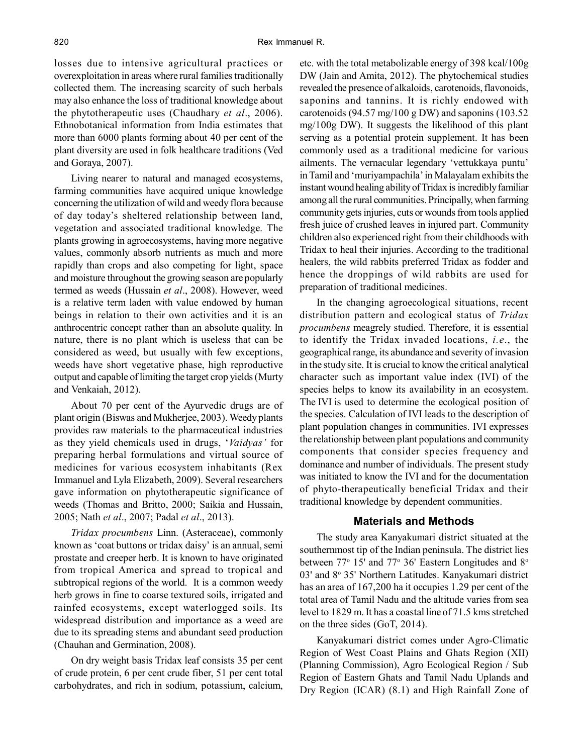losses due to intensive agricultural practices or overexploitation in areas where rural families traditionally collected them. The increasing scarcity of such herbals may also enhance the loss of traditional knowledge about the phytotherapeutic uses (Chaudhary *et al*., 2006). Ethnobotanical information from India estimates that more than 6000 plants forming about 40 per cent of the plant diversity are used in folk healthcare traditions (Ved and Goraya, 2007).

Living nearer to natural and managed ecosystems, farming communities have acquired unique knowledge concerning the utilization of wild and weedy flora because of day today's sheltered relationship between land, vegetation and associated traditional knowledge. The plants growing in agroecosystems, having more negative values, commonly absorb nutrients as much and more rapidly than crops and also competing for light, space and moisture throughout the growing season are popularly termed as weeds (Hussain *et al*., 2008). However, weed is a relative term laden with value endowed by human beings in relation to their own activities and it is an anthrocentric concept rather than an absolute quality. In nature, there is no plant which is useless that can be considered as weed, but usually with few exceptions, weeds have short vegetative phase, high reproductive output and capable of limiting the target crop yields (Murty and Venkaiah, 2012).

About 70 per cent of the Ayurvedic drugs are of plant origin (Biswas and Mukherjee, 2003). Weedy plants provides raw materials to the pharmaceutical industries as they yield chemicals used in drugs, '*Vaidyas'* for preparing herbal formulations and virtual source of medicines for various ecosystem inhabitants (Rex Immanuel and Lyla Elizabeth, 2009). Several researchers gave information on phytotherapeutic significance of weeds (Thomas and Britto, 2000; Saikia and Hussain, 2005; Nath *et al*., 2007; Padal *et al*., 2013).

*Tridax procumbens* Linn. (Asteraceae), commonly known as 'coat buttons or tridax daisy' is an annual, semi prostate and creeper herb. It is known to have originated from tropical America and spread to tropical and subtropical regions of the world. It is a common weedy herb grows in fine to coarse textured soils, irrigated and rainfed ecosystems, except waterlogged soils. Its widespread distribution and importance as a weed are due to its spreading stems and abundant seed production (Chauhan and Germination, 2008).

On dry weight basis Tridax leaf consists 35 per cent of crude protein, 6 per cent crude fiber, 51 per cent total carbohydrates, and rich in sodium, potassium, calcium, etc. with the total metabolizable energy of 398 kcal/100g DW (Jain and Amita, 2012). The phytochemical studies revealed the presence of alkaloids, carotenoids, flavonoids, saponins and tannins. It is richly endowed with carotenoids (94.57 mg/100 g DW) and saponins (103.52 mg/100g DW). It suggests the likelihood of this plant serving as a potential protein supplement. It has been commonly used as a traditional medicine for various ailments. The vernacular legendary 'vettukkaya puntu' in Tamil and 'muriyampachila' in Malayalam exhibits the instant wound healing ability of Tridax is incredibly familiar among all the rural communities. Principally, when farming community gets injuries, cuts or wounds from tools applied fresh juice of crushed leaves in injured part. Community children also experienced right from their childhoods with Tridax to heal their injuries. According to the traditional healers, the wild rabbits preferred Tridax as fodder and hence the droppings of wild rabbits are used for preparation of traditional medicines.

In the changing agroecological situations, recent distribution pattern and ecological status of *Tridax procumbens* meagrely studied. Therefore, it is essential to identify the Tridax invaded locations, *i.e*., the geographical range, its abundance and severity of invasion in the study site. It is crucial to know the critical analytical character such as important value index (IVI) of the species helps to know its availability in an ecosystem. The IVI is used to determine the ecological position of the species. Calculation of IVI leads to the description of plant population changes in communities. IVI expresses the relationship between plant populations and community components that consider species frequency and dominance and number of individuals. The present study was initiated to know the IVI and for the documentation of phyto-therapeutically beneficial Tridax and their traditional knowledge by dependent communities.

## **Materials and Methods**

The study area Kanyakumari district situated at the southernmost tip of the Indian peninsula. The district lies between 77° 15' and 77° 36' Eastern Longitudes and 8° 03' and 8° 35' Northern Latitudes. Kanyakumari district has an area of 167,200 ha it occupies 1.29 per cent of the total area of Tamil Nadu and the altitude varies from sea level to 1829 m. It has a coastal line of 71.5 kms stretched on the three sides (GoT, 2014).

Kanyakumari district comes under Agro-Climatic Region of West Coast Plains and Ghats Region (XII) (Planning Commission), Agro Ecological Region / Sub Region of Eastern Ghats and Tamil Nadu Uplands and Dry Region (ICAR) (8.1) and High Rainfall Zone of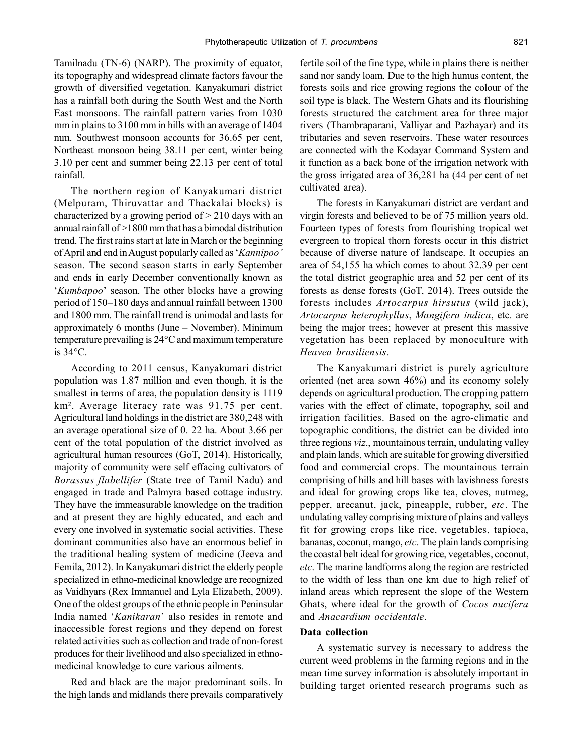Tamilnadu (TN-6) (NARP). The proximity of equator, its topography and widespread climate factors favour the growth of diversified vegetation. Kanyakumari district has a rainfall both during the South West and the North East monsoons. The rainfall pattern varies from 1030 mm in plains to 3100 mm in hills with an average of 1404 mm. Southwest monsoon accounts for 36.65 per cent, Northeast monsoon being 38.11 per cent, winter being 3.10 per cent and summer being 22.13 per cent of total rainfall.

The northern region of Kanyakumari district (Melpuram, Thiruvattar and Thackalai blocks) is characterized by a growing period of  $> 210$  days with an annual rainfall of >1800 mm that has a bimodal distribution trend. The first rains start at late in March or the beginning of April and end in August popularly called as '*Kannipoo'* season. The second season starts in early September and ends in early December conventionally known as '*Kumbapoo*' season. The other blocks have a growing period of 150–180 days and annual rainfall between 1300 and 1800 mm. The rainfall trend is unimodal and lasts for approximately 6 months (June – November). Minimum temperature prevailing is 24°C and maximum temperature is 34°C.

According to 2011 census, Kanyakumari district population was 1.87 million and even though, it is the smallest in terms of area, the population density is 1119 km². Average literacy rate was 91.75 per cent. Agricultural land holdings in the district are 380,248 with an average operational size of 0. 22 ha. About 3.66 per cent of the total population of the district involved as agricultural human resources (GoT, 2014). Historically, majority of community were self effacing cultivators of *Borassus flabellifer* (State tree of Tamil Nadu) and engaged in trade and Palmyra based cottage industry. They have the immeasurable knowledge on the tradition and at present they are highly educated, and each and every one involved in systematic social activities. These dominant communities also have an enormous belief in the traditional healing system of medicine (Jeeva and Femila, 2012). In Kanyakumari district the elderly people specialized in ethno-medicinal knowledge are recognized as Vaidhyars (Rex Immanuel and Lyla Elizabeth, 2009). One of the oldest groups of the ethnic people in Peninsular India named '*Kanikaran*' also resides in remote and inaccessible forest regions and they depend on forest related activities such as collection and trade of non-forest produces for their livelihood and also specialized in ethnomedicinal knowledge to cure various ailments.

Red and black are the major predominant soils. In the high lands and midlands there prevails comparatively fertile soil of the fine type, while in plains there is neither sand nor sandy loam. Due to the high humus content, the forests soils and rice growing regions the colour of the soil type is black. The Western Ghats and its flourishing forests structured the catchment area for three major rivers (Thambraparani, Valliyar and Pazhayar) and its tributaries and seven reservoirs. These water resources are connected with the Kodayar Command System and it function as a back bone of the irrigation network with the gross irrigated area of 36,281 ha (44 per cent of net cultivated area).

The forests in Kanyakumari district are verdant and virgin forests and believed to be of 75 million years old. Fourteen types of forests from flourishing tropical wet evergreen to tropical thorn forests occur in this district because of diverse nature of landscape. It occupies an area of 54,155 ha which comes to about 32.39 per cent the total district geographic area and 52 per cent of its forests as dense forests (GoT, 2014). Trees outside the forests includes *Artocarpus hirsutus* (wild jack), *Artocarpus heterophyllus*, *Mangifera indica*, etc. are being the major trees; however at present this massive vegetation has been replaced by monoculture with *Heavea brasiliensis*.

The Kanyakumari district is purely agriculture oriented (net area sown 46%) and its economy solely depends on agricultural production. The cropping pattern varies with the effect of climate, topography, soil and irrigation facilities. Based on the agro-climatic and topographic conditions, the district can be divided into three regions *viz*., mountainous terrain, undulating valley and plain lands, which are suitable for growing diversified food and commercial crops. The mountainous terrain comprising of hills and hill bases with lavishness forests and ideal for growing crops like tea, cloves, nutmeg, pepper, arecanut, jack, pineapple, rubber, *etc*. The undulating valley comprising mixture of plains and valleys fit for growing crops like rice, vegetables, tapioca, bananas, coconut, mango, *etc*. The plain lands comprising the coastal belt ideal for growing rice, vegetables, coconut, *etc*. The marine landforms along the region are restricted to the width of less than one km due to high relief of inland areas which represent the slope of the Western Ghats, where ideal for the growth of *Cocos nucifera* and *Anacardium occidentale*.

## **Data collection**

A systematic survey is necessary to address the current weed problems in the farming regions and in the mean time survey information is absolutely important in building target oriented research programs such as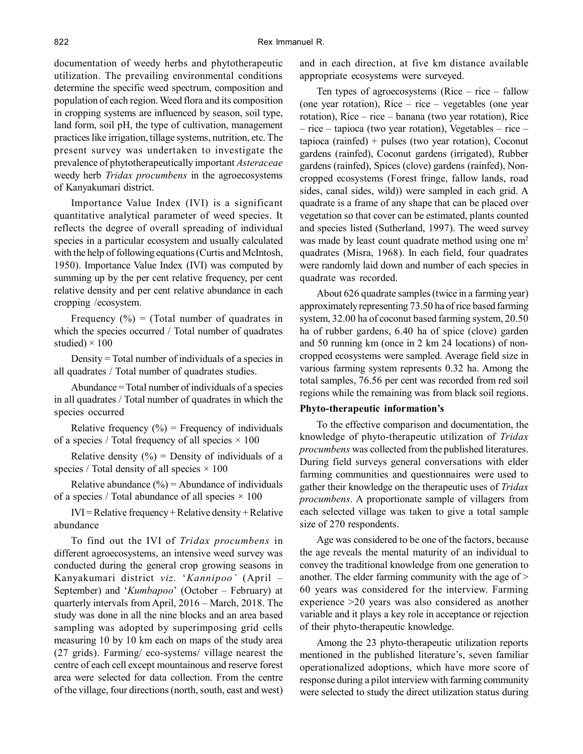documentation of weedy herbs and phytotherapeutic utilization. The prevailing environmental conditions determine the specific weed spectrum, composition and population of each region. Weed flora and its composition in cropping systems are influenced by season, soil type, land form, soil pH, the type of cultivation, management practices like irrigation, tillage systems, nutrition, etc. The present survey was undertaken to investigate the prevalence of phytotherapeutically important *Asteraceae* weedy herb *Tridax procumbens* in the agroecosystems of Kanyakumari district.

Importance Value Index (IVI) is a significant quantitative analytical parameter of weed species. It reflects the degree of overall spreading of individual species in a particular ecosystem and usually calculated with the help of following equations (Curtis and McIntosh, 1950). Importance Value Index (IVI) was computed by summing up by the per cent relative frequency, per cent relative density and per cent relative abundance in each cropping /ecosystem.

Frequency  $(\%)$  = (Total number of quadrates in which the species occurred / Total number of quadrates studied)  $\times$  100

Density = Total number of individuals of a species in all quadrates / Total number of quadrates studies.

Abundance = Total number of individuals of a species in all quadrates / Total number of quadrates in which the species occurred

Relative frequency  $(\%)$  = Frequency of individuals of a species / Total frequency of all species  $\times$  100

Relative density  $(\frac{9}{6})$  = Density of individuals of a species / Total density of all species  $\times$  100

Relative abundance  $(\% )$  = Abundance of individuals of a species / Total abundance of all species  $\times$  100

 $IVI = Relative frequency + Relative density + Relative$ abundance

To find out the IVI of *Tridax procumbens* in different agroecosystems, an intensive weed survey was conducted during the general crop growing seasons in Kanyakumari district *viz.* '*Kannipoo'* (April – September) and '*Kumbapoo*' (October – February) at quarterly intervals from April, 2016 – March, 2018. The study was done in all the nine blocks and an area based sampling was adopted by superimposing grid cells measuring 10 by 10 km each on maps of the study area (27 grids). Farming/ eco-systems/ village nearest the centre of each cell except mountainous and reserve forest area were selected for data collection. From the centre of the village, four directions (north, south, east and west)

and in each direction, at five km distance available appropriate ecosystems were surveyed.

Ten types of agroecosystems (Rice – rice – fallow (one year rotation), Rice – rice – vegetables (one year rotation), Rice – rice – banana (two year rotation), Rice – rice – tapioca (two year rotation), Vegetables – rice – tapioca (rainfed) + pulses (two year rotation), Coconut gardens (rainfed), Coconut gardens (irrigated), Rubber gardens (rainfed), Spices (clove) gardens (rainfed), Noncropped ecosystems (Forest fringe, fallow lands, road sides, canal sides, wild)) were sampled in each grid. A quadrate is a frame of any shape that can be placed over vegetation so that cover can be estimated, plants counted and species listed (Sutherland, 1997). The weed survey was made by least count quadrate method using one m<sup>2</sup> quadrates (Misra, 1968). In each field, four quadrates were randomly laid down and number of each species in quadrate was recorded.

About 626 quadrate samples (twice in a farming year) approximately representing 73.50 ha of rice based farming system, 32.00 ha of coconut based farming system, 20.50 ha of rubber gardens, 6.40 ha of spice (clove) garden and 50 running km (once in 2 km 24 locations) of noncropped ecosystems were sampled. Average field size in various farming system represents 0.32 ha. Among the total samples, 76.56 per cent was recorded from red soil regions while the remaining was from black soil regions.

## **Phyto-therapeutic information's**

To the effective comparison and documentation, the knowledge of phyto-therapeutic utilization of *Tridax procumbens* was collected from the published literatures. During field surveys general conversations with elder farming communities and questionnaires were used to gather their knowledge on the therapeutic uses of *Tridax procumbens*. A proportionate sample of villagers from each selected village was taken to give a total sample size of 270 respondents.

Age was considered to be one of the factors, because the age reveals the mental maturity of an individual to convey the traditional knowledge from one generation to another. The elder farming community with the age of > 60 years was considered for the interview. Farming experience >20 years was also considered as another variable and it plays a key role in acceptance or rejection of their phyto-therapeutic knowledge.

Among the 23 phyto-therapeutic utilization reports mentioned in the published literature's, seven familiar operationalized adoptions, which have more score of response during a pilot interview with farming community were selected to study the direct utilization status during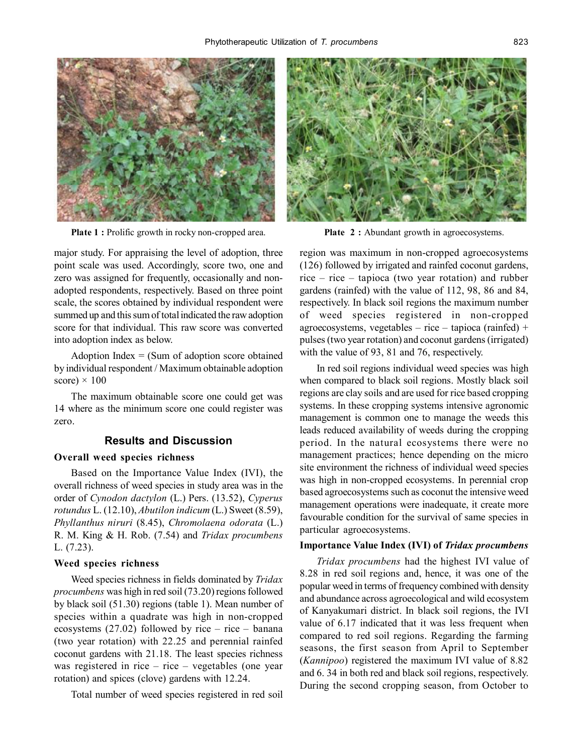

**Plate 1 :** Prolific growth in rocky non-cropped area. **Plate 2 :** Abundant growth in agroecosystems.

major study. For appraising the level of adoption, three point scale was used. Accordingly, score two, one and zero was assigned for frequently, occasionally and nonadopted respondents, respectively. Based on three point scale, the scores obtained by individual respondent were summed up and this sum of total indicated the raw adoption score for that individual. This raw score was converted into adoption index as below.

Adoption Index  $=$  (Sum of adoption score obtained by individual respondent / Maximum obtainable adoption score)  $\times$  100

The maximum obtainable score one could get was 14 where as the minimum score one could register was zero.

## **Results and Discussion**

#### **Overall weed species richness**

Based on the Importance Value Index (IVI), the overall richness of weed species in study area was in the order of *Cynodon dactylon* (L.) Pers. (13.52), *Cyperus rotundus* L. (12.10), *Abutilon indicum* (L.) Sweet (8.59), *Phyllanthus niruri* (8.45), *Chromolaena odorata* (L.) R. M. King & H. Rob. (7.54) and *Tridax procumbens* L. (7.23).

#### **Weed species richness**

Weed species richness in fields dominated by *Tridax procumbens* was high in red soil (73.20) regions followed by black soil (51.30) regions (table 1). Mean number of species within a quadrate was high in non-cropped ecosystems (27.02) followed by rice – rice – banana (two year rotation) with 22.25 and perennial rainfed coconut gardens with 21.18. The least species richness was registered in rice – rice – vegetables (one year rotation) and spices (clove) gardens with 12.24.

Total number of weed species registered in red soil



region was maximum in non-cropped agroecosystems (126) followed by irrigated and rainfed coconut gardens, rice – rice – tapioca (two year rotation) and rubber gardens (rainfed) with the value of 112, 98, 86 and 84, respectively. In black soil regions the maximum number of weed species registered in non-cropped agroecosystems, vegetables – rice – tapioca (rainfed) + pulses (two year rotation) and coconut gardens (irrigated) with the value of 93, 81 and 76, respectively.

In red soil regions individual weed species was high when compared to black soil regions. Mostly black soil regions are clay soils and are used for rice based cropping systems. In these cropping systems intensive agronomic management is common one to manage the weeds this leads reduced availability of weeds during the cropping period. In the natural ecosystems there were no management practices; hence depending on the micro site environment the richness of individual weed species was high in non-cropped ecosystems. In perennial crop based agroecosystems such as coconut the intensive weed management operations were inadequate, it create more favourable condition for the survival of same species in particular agroecosystems.

#### **Importance Value Index (IVI) of** *Tridax procumbens*

*Tridax procumbens* had the highest IVI value of 8.28 in red soil regions and, hence, it was one of the popular weed in terms of frequency combined with density and abundance across agroecological and wild ecosystem of Kanyakumari district. In black soil regions, the IVI value of 6.17 indicated that it was less frequent when compared to red soil regions. Regarding the farming seasons, the first season from April to September (*Kannipoo*) registered the maximum IVI value of 8.82 and 6. 34 in both red and black soil regions, respectively. During the second cropping season, from October to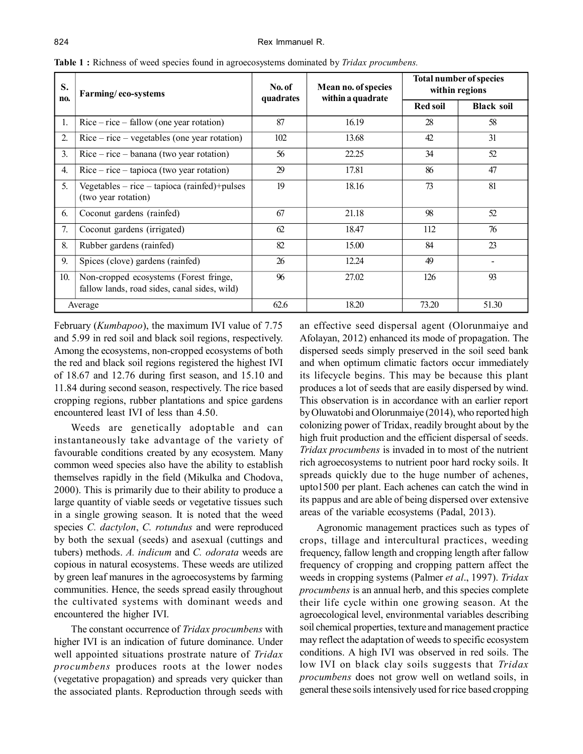| S.<br>no. | Farming/eco-systems                                                                    | No. of<br>quadrates | Mean no. of species<br>within a quadrate | <b>Total number of species</b><br>within regions |                   |
|-----------|----------------------------------------------------------------------------------------|---------------------|------------------------------------------|--------------------------------------------------|-------------------|
|           |                                                                                        |                     |                                          | <b>Red soil</b>                                  | <b>Black soil</b> |
| 1.        | $Rice - rice - fallow (one year rotation)$                                             | 87                  | 16.19                                    | 28                                               | 58                |
| 2.        | $Rice - rice - vegetables (one year rotation)$                                         | 102                 | 13.68                                    | 42                                               | 31                |
| 3.        | $Rice - rice - banana$ (two year rotation)                                             | 56                  | 22.25                                    | 34                                               | 52                |
| 4.        | $Rice - rice - tapioca$ (two year rotation)                                            | 29                  | 17.81                                    | 86                                               | 47                |
| 5.        | Vegetables $-$ rice $-$ tapioca (rainfed)+pulses<br>(two year rotation)                | 19                  | 18.16                                    | 73                                               | 81                |
| 6.        | Coconut gardens (rainfed)                                                              | 67                  | 21.18                                    | 98                                               | 52                |
| 7.        | Coconut gardens (irrigated)                                                            | 62                  | 18.47                                    | 112                                              | 76                |
| 8.        | Rubber gardens (rainfed)                                                               | 82                  | 15.00                                    | 84                                               | 23                |
| 9.        | Spices (clove) gardens (rainfed)                                                       | 26                  | 12.24                                    | 49                                               |                   |
| 10.       | Non-cropped ecosystems (Forest fringe,<br>fallow lands, road sides, canal sides, wild) | 96                  | 27.02                                    | 126                                              | 93                |
| Average   |                                                                                        | 62.6                | 18.20                                    | 73.20                                            | 51.30             |

**Table 1 :** Richness of weed species found in agroecosystems dominated by *Tridax procumbens.*

February (*Kumbapoo*), the maximum IVI value of 7.75 and 5.99 in red soil and black soil regions, respectively. Among the ecosystems, non-cropped ecosystems of both the red and black soil regions registered the highest IVI of 18.67 and 12.76 during first season, and 15.10 and 11.84 during second season, respectively. The rice based cropping regions, rubber plantations and spice gardens encountered least IVI of less than 4.50.

Weeds are genetically adoptable and can instantaneously take advantage of the variety of favourable conditions created by any ecosystem. Many common weed species also have the ability to establish themselves rapidly in the field (Mikulka and Chodova, 2000). This is primarily due to their ability to produce a large quantity of viable seeds or vegetative tissues such in a single growing season. It is noted that the weed species *C. dactylon*, *C. rotundus* and were reproduced by both the sexual (seeds) and asexual (cuttings and tubers) methods. *A. indicum* and *C. odorata* weeds are copious in natural ecosystems. These weeds are utilized by green leaf manures in the agroecosystems by farming communities. Hence, the seeds spread easily throughout the cultivated systems with dominant weeds and encountered the higher IVI.

The constant occurrence of *Tridax procumbens* with higher IVI is an indication of future dominance. Under well appointed situations prostrate nature of *Tridax procumbens* produces roots at the lower nodes (vegetative propagation) and spreads very quicker than the associated plants. Reproduction through seeds with

an effective seed dispersal agent (Olorunmaiye and Afolayan, 2012) enhanced its mode of propagation. The dispersed seeds simply preserved in the soil seed bank and when optimum climatic factors occur immediately its lifecycle begins. This may be because this plant produces a lot of seeds that are easily dispersed by wind. This observation is in accordance with an earlier report by Oluwatobi and Olorunmaiye (2014), who reported high colonizing power of Tridax, readily brought about by the high fruit production and the efficient dispersal of seeds. *Tridax procumbens* is invaded in to most of the nutrient rich agroecosystems to nutrient poor hard rocky soils. It spreads quickly due to the huge number of achenes, upto1500 per plant. Each achenes can catch the wind in its pappus and are able of being dispersed over extensive areas of the variable ecosystems (Padal, 2013).

Agronomic management practices such as types of crops, tillage and intercultural practices, weeding frequency, fallow length and cropping length after fallow frequency of cropping and cropping pattern affect the weeds in cropping systems (Palmer *et al*., 1997). *Tridax procumbens* is an annual herb, and this species complete their life cycle within one growing season. At the agroecological level, environmental variables describing soil chemical properties, texture and management practice may reflect the adaptation of weeds to specific ecosystem conditions. A high IVI was observed in red soils. The low IVI on black clay soils suggests that *Tridax procumbens* does not grow well on wetland soils, in general these soils intensively used for rice based cropping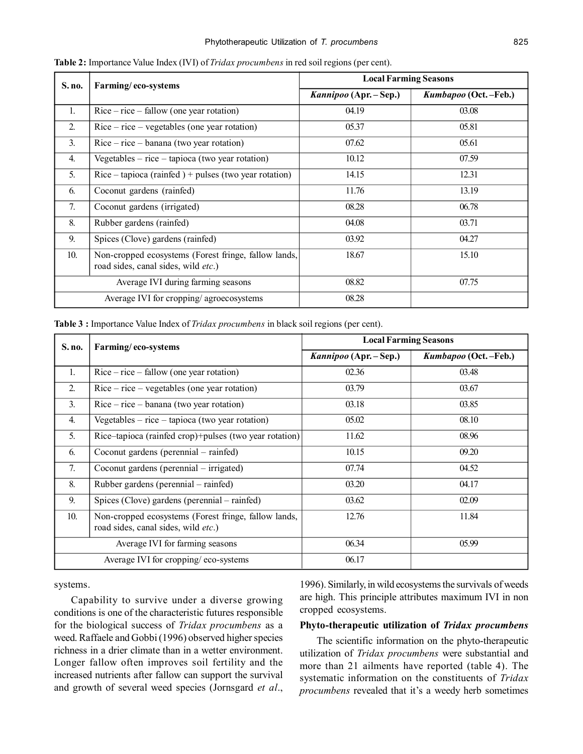| <b>S. no.</b>    | Farming/eco-systems                                                                         | <b>Local Farming Seasons</b> |                      |  |
|------------------|---------------------------------------------------------------------------------------------|------------------------------|----------------------|--|
|                  |                                                                                             | Kannipoo (Apr. – Sep.)       | Kumbapoo (Oct.-Feb.) |  |
| $\mathbf{1}$ .   | $Rice - rice - fallow (one year rotation)$                                                  | 04.19                        | 03.08                |  |
| $\overline{2}$ . | $Rice - rice - vegetables (one year rotation)$                                              | 05.37                        | 05.81                |  |
| $\mathfrak{Z}$ . | $Rice - rice - banana$ (two year rotation)                                                  | 07.62                        | 05.61                |  |
| $\overline{4}$ . | Vegetables $-$ rice $-$ tapioca (two year rotation)                                         | 10.12                        | 07.59                |  |
| 5.               | $Rice - tapioca (rainfed) + pulses (two year rotation)$                                     | 14.15                        | 12.31                |  |
| 6.               | Coconut gardens (rainfed)                                                                   | 11.76                        | 13.19                |  |
| 7.               | Coconut gardens (irrigated)                                                                 | 08.28                        | 06.78                |  |
| 8.               | Rubber gardens (rainfed)                                                                    | 04.08                        | 03.71                |  |
| 9.               | Spices (Clove) gardens (rainfed)                                                            | 03.92                        | 04.27                |  |
| 10.              | Non-cropped ecosystems (Forest fringe, fallow lands,<br>road sides, canal sides, wild etc.) | 18.67                        | 15.10                |  |
|                  | Average IVI during farming seasons                                                          | 08.82                        | 07.75                |  |
|                  | Average IVI for cropping/agroecosystems                                                     | 08.28                        |                      |  |

**Table 2:** Importance Value Index (IVI) of *Tridax procumbens* in red soil regions (per cent).

| Table 3 : Importance Value Index of <i>Tridax procumbens</i> in black soil regions (per cent). |  |  |  |  |  |
|------------------------------------------------------------------------------------------------|--|--|--|--|--|
|------------------------------------------------------------------------------------------------|--|--|--|--|--|

| S. no. | Farming/eco-systems                                                                         | <b>Local Farming Seasons</b> |                      |  |
|--------|---------------------------------------------------------------------------------------------|------------------------------|----------------------|--|
|        |                                                                                             | Kannipoo (Apr. – Sep.)       | Kumbapoo (Oct.-Feb.) |  |
| 1.     | $Rice - rice - fallow (one year rotation)$                                                  | 02.36                        | 03.48                |  |
| 2.     | $Rice - rice - vegetables (one year rotation)$                                              | 03.79                        | 03.67                |  |
| 3.     | $Rice - rice - banana$ (two year rotation)                                                  | 03.18                        | 03.85                |  |
| 4.     | Vegetables $-$ rice $-$ tapioca (two year rotation)                                         | 05.02                        | 08.10                |  |
| 5.     | Rice-tapioca (rainfed crop)+pulses (two year rotation)                                      | 11.62                        | 08.96                |  |
| 6.     | Coconut gardens (perennial – rainfed)                                                       | 10.15                        | 09.20                |  |
| 7.     | Coconut gardens (perennial – irrigated)                                                     | 07.74                        | 04.52                |  |
| 8.     | Rubber gardens (perennial – rainfed)                                                        | 03.20                        | 04.17                |  |
| 9.     | Spices (Clove) gardens (perennial – rainfed)                                                | 03.62                        | 02.09                |  |
| 10.    | Non-cropped ecosystems (Forest fringe, fallow lands,<br>road sides, canal sides, wild etc.) | 12.76                        | 11.84                |  |
|        | Average IVI for farming seasons                                                             | 06.34                        | 05.99                |  |
|        | Average IVI for cropping/eco-systems                                                        | 06.17                        |                      |  |

systems.

Capability to survive under a diverse growing conditions is one of the characteristic futures responsible for the biological success of *Tridax procumbens* as a weed. Raffaele and Gobbi (1996) observed higher species richness in a drier climate than in a wetter environment. Longer fallow often improves soil fertility and the increased nutrients after fallow can support the survival and growth of several weed species (Jornsgard *et al*., 1996). Similarly, in wild ecosystems the survivals of weeds are high. This principle attributes maximum IVI in non cropped ecosystems.

### **Phyto-therapeutic utilization of** *Tridax procumbens*

The scientific information on the phyto-therapeutic utilization of *Tridax procumbens* were substantial and more than 21 ailments have reported (table 4). The systematic information on the constituents of *Tridax procumbens* revealed that it's a weedy herb sometimes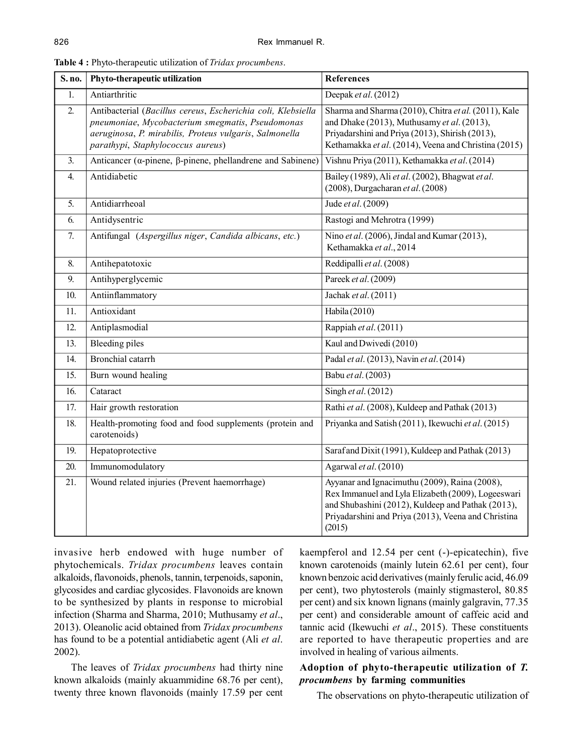| S. no.           | Phyto-therapeutic utilization                                                                                                                                                                                   | <b>References</b>                                                                                                                                                                                                         |
|------------------|-----------------------------------------------------------------------------------------------------------------------------------------------------------------------------------------------------------------|---------------------------------------------------------------------------------------------------------------------------------------------------------------------------------------------------------------------------|
| 1.               | Antiarthritic                                                                                                                                                                                                   | Deepak et al. (2012)                                                                                                                                                                                                      |
| $\overline{2}$ . | Antibacterial (Bacillus cereus, Escherichia coli, Klebsiella<br>pneumoniae, Mycobacterium smegmatis, Pseudomonas<br>aeruginosa, P. mirabilis, Proteus vulgaris, Salmonella<br>parathypi, Staphylococcus aureus) | Sharma and Sharma (2010), Chitra et al. (2011), Kale<br>and Dhake (2013), Muthusamy et al. (2013),<br>Priyadarshini and Priya (2013), Shirish (2013),<br>Kethamakka et al. (2014), Veena and Christina (2015)             |
| 3.               | Anticancer ( $\alpha$ -pinene, $\beta$ -pinene, phellandrene and Sabinene)                                                                                                                                      | Vishnu Priya (2011), Kethamakka et al. (2014)                                                                                                                                                                             |
| 4.               | Antidiabetic                                                                                                                                                                                                    | Bailey (1989), Ali et al. (2002), Bhagwat et al.<br>$(2008)$ , Durgacharan et al. $(2008)$                                                                                                                                |
| 5.               | Antidiarrheoal                                                                                                                                                                                                  | Jude et al. (2009)                                                                                                                                                                                                        |
| 6.               | Antidysentric                                                                                                                                                                                                   | Rastogi and Mehrotra (1999)                                                                                                                                                                                               |
| $\overline{7}$ . | Antifungal (Aspergillus niger, Candida albicans, etc.)                                                                                                                                                          | Nino et al. (2006), Jindal and Kumar (2013),<br>Kethamakka et al., 2014                                                                                                                                                   |
| 8.               | Antihepatotoxic                                                                                                                                                                                                 | Reddipalli et al. (2008)                                                                                                                                                                                                  |
| 9.               | Antihyperglycemic                                                                                                                                                                                               | Pareek et al. (2009)                                                                                                                                                                                                      |
| 10.              | Antiinflammatory                                                                                                                                                                                                | Jachak et al. (2011)                                                                                                                                                                                                      |
| 11.              | Antioxidant                                                                                                                                                                                                     | Habila (2010)                                                                                                                                                                                                             |
| 12.              | Antiplasmodial                                                                                                                                                                                                  | Rappiah et al. (2011)                                                                                                                                                                                                     |
| 13.              | <b>Bleeding piles</b>                                                                                                                                                                                           | Kaul and Dwivedi (2010)                                                                                                                                                                                                   |
| 14.              | Bronchial catarrh                                                                                                                                                                                               | Padal et al. (2013), Navin et al. (2014)                                                                                                                                                                                  |
| 15.              | Burn wound healing                                                                                                                                                                                              | Babu et al. (2003)                                                                                                                                                                                                        |
| 16.              | Cataract                                                                                                                                                                                                        | Singh et al. (2012)                                                                                                                                                                                                       |
| 17.              | Hair growth restoration                                                                                                                                                                                         | Rathi et al. (2008), Kuldeep and Pathak (2013)                                                                                                                                                                            |
| 18.              | Health-promoting food and food supplements (protein and<br>carotenoids)                                                                                                                                         | Priyanka and Satish (2011), Ikewuchi et al. (2015)                                                                                                                                                                        |
| 19.              | Hepatoprotective                                                                                                                                                                                                | Saraf and Dixit (1991), Kuldeep and Pathak (2013)                                                                                                                                                                         |
| 20.              | Immunomodulatory                                                                                                                                                                                                | Agarwal et al. (2010)                                                                                                                                                                                                     |
| 21.              | Wound related injuries (Prevent haemorrhage)                                                                                                                                                                    | Ayyanar and Ignacimuthu (2009), Raina (2008),<br>Rex Immanuel and Lyla Elizabeth (2009), Logeeswari<br>and Shubashini (2012), Kuldeep and Pathak (2013),<br>Priyadarshini and Priya (2013), Veena and Christina<br>(2015) |

invasive herb endowed with huge number of phytochemicals. *Tridax procumbens* leaves contain alkaloids, flavonoids, phenols, tannin, terpenoids, saponin, glycosides and cardiac glycosides. Flavonoids are known to be synthesized by plants in response to microbial infection (Sharma and Sharma, 2010; Muthusamy *et al*., 2013). Oleanolic acid obtained from *Tridax procumbens* has found to be a potential antidiabetic agent (Ali *et al*. 2002).

The leaves of *Tridax procumbens* had thirty nine known alkaloids (mainly akuammidine 68.76 per cent), twenty three known flavonoids (mainly 17.59 per cent

kaempferol and 12.54 per cent (-)-epicatechin), five known carotenoids (mainly lutein 62.61 per cent), four known benzoic acid derivatives (mainly ferulic acid, 46.09 per cent), two phytosterols (mainly stigmasterol, 80.85 per cent) and six known lignans (mainly galgravin, 77.35 per cent) and considerable amount of caffeic acid and tannic acid (Ikewuchi *et al*., 2015). These constituents are reported to have therapeutic properties and are involved in healing of various ailments.

# **Adoption of phyto-therapeutic utilization of** *T. procumbens* **by farming communities**

The observations on phyto-therapeutic utilization of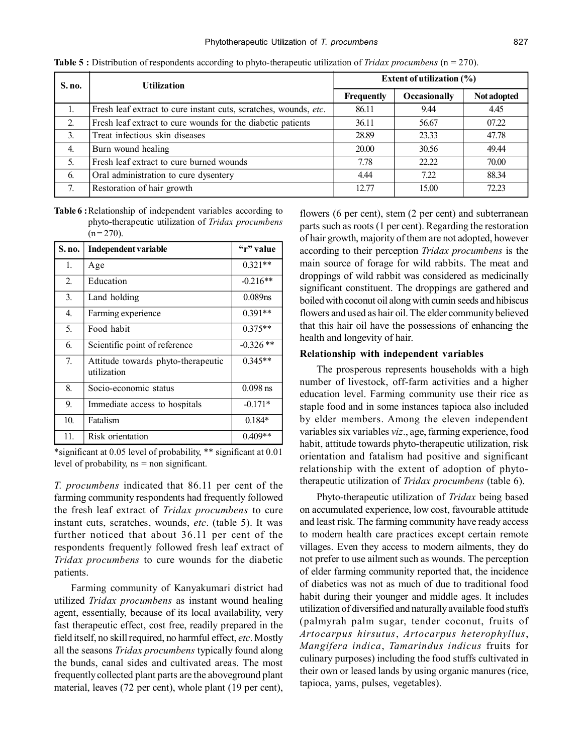| S. no.           | <b>Utilization</b>                                               | <b>Extent of utilization (%)</b> |                     |                    |  |
|------------------|------------------------------------------------------------------|----------------------------------|---------------------|--------------------|--|
|                  |                                                                  | <b>Frequently</b>                | <b>Occasionally</b> | <b>Not adopted</b> |  |
|                  | Fresh leaf extract to cure instant cuts, scratches, wounds, etc. | 86.11                            | 9.44                | 4.45               |  |
| $\overline{2}$ . | Fresh leaf extract to cure wounds for the diabetic patients      | 36.11                            | 56.67               | 07.22              |  |
| 3.               | Treat infectious skin diseases                                   | 28.89                            | 23.33               | 47.78              |  |
| 4.               | Burn wound healing                                               | 20.00                            | 30.56               | 49.44              |  |
| 5.               | Fresh leaf extract to cure burned wounds                         | 7.78                             | 22.22               | 70.00              |  |
| 6.               | Oral administration to cure dysentery                            | 4.44                             | 7.22                | 88.34              |  |
| 7.               | Restoration of hair growth                                       | 12.77                            | 15.00               | 72.23              |  |

**Table 5 :** Distribution of respondents according to phyto-therapeutic utilization of *Tridax procumbens* (n = 270).

**Table 6 :**Relationship of independent variables according to phyto-therapeutic utilization of *Tridax procumbens*  $(n = 270)$ .

| S. no. | Independent variable                              | "r" value  |  |
|--------|---------------------------------------------------|------------|--|
| 1.     | Age                                               | $0.321**$  |  |
| 2.     | Education                                         | $-0.216**$ |  |
| 3.     | Land holding                                      | $0.089$ ns |  |
| 4.     | Farming experience                                | $0.391**$  |  |
| 5.     | Food habit                                        | $0.375**$  |  |
| 6.     | Scientific point of reference                     | $-0.326**$ |  |
| 7.     | Attitude towards phyto-therapeutic<br>utilization | $0.345**$  |  |
| 8.     | Socio-economic status                             | $0.098$ ns |  |
| 9.     | Immediate access to hospitals                     | $-0.171*$  |  |
| 10.    | Fatalism                                          | $0.184*$   |  |
| 11.    | Risk orientation                                  | $0.409**$  |  |

\*significant at 0.05 level of probability, \*\* significant at 0.01 level of probability, ns = non significant.

*T. procumbens* indicated that 86.11 per cent of the farming community respondents had frequently followed the fresh leaf extract of *Tridax procumbens* to cure instant cuts, scratches, wounds, *etc*. (table 5). It was further noticed that about 36.11 per cent of the respondents frequently followed fresh leaf extract of *Tridax procumbens* to cure wounds for the diabetic patients.

Farming community of Kanyakumari district had utilized *Tridax procumbens* as instant wound healing agent, essentially, because of its local availability, very fast therapeutic effect, cost free, readily prepared in the field itself, no skill required, no harmful effect, *etc*. Mostly all the seasons *Tridax procumbens* typically found along the bunds, canal sides and cultivated areas. The most frequently collected plant parts are the aboveground plant material, leaves (72 per cent), whole plant (19 per cent), flowers (6 per cent), stem (2 per cent) and subterranean parts such as roots (1 per cent). Regarding the restoration of hair growth, majority of them are not adopted, however according to their perception *Tridax procumbens* is the main source of forage for wild rabbits. The meat and droppings of wild rabbit was considered as medicinally significant constituent. The droppings are gathered and boiled with coconut oil along with cumin seeds and hibiscus flowers and used as hair oil. The elder community believed that this hair oil have the possessions of enhancing the health and longevity of hair.

#### **Relationship with independent variables**

The prosperous represents households with a high number of livestock, off-farm activities and a higher education level. Farming community use their rice as staple food and in some instances tapioca also included by elder members. Among the eleven independent variables six variables *viz*., age, farming experience, food habit, attitude towards phyto-therapeutic utilization, risk orientation and fatalism had positive and significant relationship with the extent of adoption of phytotherapeutic utilization of *Tridax procumbens* (table 6).

Phyto-therapeutic utilization of *Tridax* being based on accumulated experience, low cost, favourable attitude and least risk. The farming community have ready access to modern health care practices except certain remote villages. Even they access to modern ailments, they do not prefer to use ailment such as wounds. The perception of elder farming community reported that, the incidence of diabetics was not as much of due to traditional food habit during their younger and middle ages. It includes utilization of diversified and naturally available food stuffs (palmyrah palm sugar, tender coconut, fruits of *Artocarpus hirsutus*, *Artocarpus heterophyllus*, *Mangifera indica*, *Tamarindus indicus* fruits for culinary purposes) including the food stuffs cultivated in their own or leased lands by using organic manures (rice, tapioca, yams, pulses, vegetables).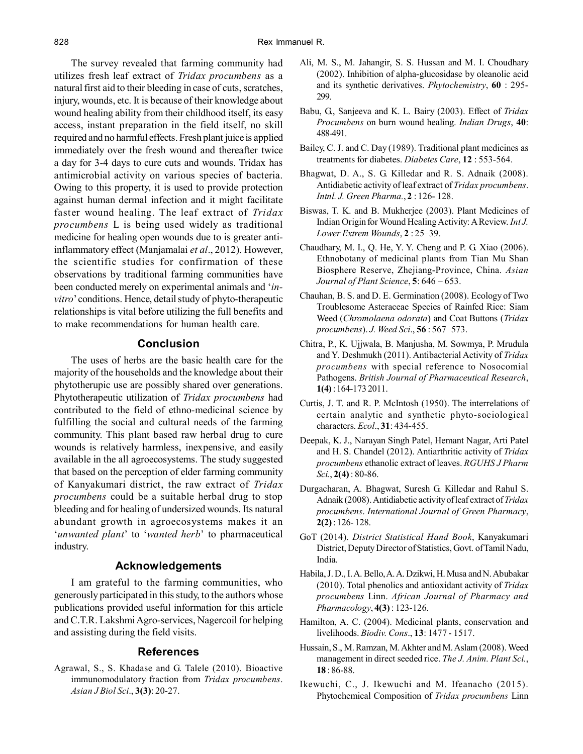The survey revealed that farming community had utilizes fresh leaf extract of *Tridax procumbens* as a natural first aid to their bleeding in case of cuts, scratches, injury, wounds, etc. It is because of their knowledge about wound healing ability from their childhood itself, its easy access, instant preparation in the field itself, no skill required and no harmful effects. Fresh plant juice is applied immediately over the fresh wound and thereafter twice a day for 3-4 days to cure cuts and wounds. Tridax has antimicrobial activity on various species of bacteria. Owing to this property, it is used to provide protection against human dermal infection and it might facilitate faster wound healing. The leaf extract of *Tridax procumbens* L is being used widely as traditional medicine for healing open wounds due to is greater antiinflammatory effect (Manjamalai *et al*., 2012). However, the scientific studies for confirmation of these observations by traditional farming communities have been conducted merely on experimental animals and '*invitro*' conditions. Hence, detail study of phyto-therapeutic relationships is vital before utilizing the full benefits and to make recommendations for human health care.

# **Conclusion**

The uses of herbs are the basic health care for the majority of the households and the knowledge about their phytotherupic use are possibly shared over generations. Phytotherapeutic utilization of *Tridax procumbens* had contributed to the field of ethno-medicinal science by fulfilling the social and cultural needs of the farming community. This plant based raw herbal drug to cure wounds is relatively harmless, inexpensive, and easily available in the all agroecosystems. The study suggested that based on the perception of elder farming community of Kanyakumari district, the raw extract of *Tridax procumbens* could be a suitable herbal drug to stop bleeding and for healing of undersized wounds. Its natural abundant growth in agroecosystems makes it an '*unwanted plant*' to '*wanted herb*' to pharmaceutical industry.

# **Acknowledgements**

I am grateful to the farming communities, who generously participated in this study, to the authors whose publications provided useful information for this article and C.T.R. Lakshmi Agro-services, Nagercoil for helping and assisting during the field visits.

# **References**

Agrawal, S., S. Khadase and G. Talele (2010). Bioactive immunomodulatory fraction from *Tridax procumbens*. *Asian J Biol Sci*., **3(3)**: 20-27.

- Ali, M. S., M. Jahangir, S. S. Hussan and M. I. Choudhary (2002). Inhibition of alpha-glucosidase by oleanolic acid and its synthetic derivatives. *Phytochemistry*, **60** : 295- 299.
- Babu, G., Sanjeeva and K. L. Bairy (2003). Effect of *Tridax Procumbens* on burn wound healing. *Indian Drugs*, **40**: 488-491.
- Bailey, C. J. and C. Day (1989). Traditional plant medicines as treatments for diabetes. *Diabetes Care*, **12** : 553-564.
- Bhagwat, D. A., S. G. Killedar and R. S. Adnaik (2008). Antidiabetic activity of leaf extract of *Tridax procumbens*. *Intnl. J. Green Pharma.*, **2** : 126- 128.
- Biswas, T. K. and B. Mukherjee (2003). Plant Medicines of Indian Origin for Wound Healing Activity: A Review. *Int J. Lower Extrem Wounds*, **2** : 25–39.
- Chaudhary, M. I., Q. He, Y. Y. Cheng and P. G. Xiao (2006). Ethnobotany of medicinal plants from Tian Mu Shan Biosphere Reserve, Zhejiang-Province, China. *Asian Journal of Plant Science*, **5**: 646 – 653.
- Chauhan, B. S. and D. E. Germination (2008). Ecology of Two Troublesome Asteraceae Species of Rainfed Rice: Siam Weed (*Chromolaena odorata*) and Coat Buttons (*Tridax procumbens*). *J. Weed Sci*., **56** : 567–573.
- Chitra, P., K. Ujjwala, B. Manjusha, M. Sowmya, P. Mrudula and Y. Deshmukh (2011). Antibacterial Activity of *Tridax procumbens* with special reference to Nosocomial Pathogens. *British Journal of Pharmaceutical Research*, **1(4)** : 164-173 2011.
- Curtis, J. T. and R. P. McIntosh (1950). The interrelations of certain analytic and synthetic phyto-sociological characters. *Ecol*., **31**: 434-455.
- Deepak, K. J., Narayan Singh Patel, Hemant Nagar, Arti Patel and H. S. Chandel (2012). Antiarthritic activity of *Tridax procumbens* ethanolic extract of leaves. *RGUHS J Pharm Sci.*, **2(4)** : 80-86.
- Durgacharan, A. Bhagwat, Suresh G. Killedar and Rahul S. Adnaik (2008). Antidiabetic activity of leaf extract of *Tridax procumbens*. *International Journal of Green Pharmacy*, **2(2)** : 126- 128.
- GoT (2014). *District Statistical Hand Book*, Kanyakumari District, Deputy Director of Statistics, Govt. of Tamil Nadu, India.
- Habila, J. D., I. A. Bello, A. A. Dzikwi, H. Musa and N. Abubakar (2010). Total phenolics and antioxidant activity of *Tridax procumbens* Linn. *African Journal of Pharmacy and Pharmacology*, **4(3)** : 123-126.
- Hamilton, A. C. (2004). Medicinal plants, conservation and livelihoods. *Biodiv. Cons*., **13**: 1477 - 1517.
- Hussain, S., M. Ramzan, M. Akhter and M. Aslam (2008). Weed management in direct seeded rice. *The J. Anim. Plant Sci.*, **18** : 86-88.
- Ikewuchi, C., J. Ikewuchi and M. Ifeanacho (2015). Phytochemical Composition of *Tridax procumbens* Linn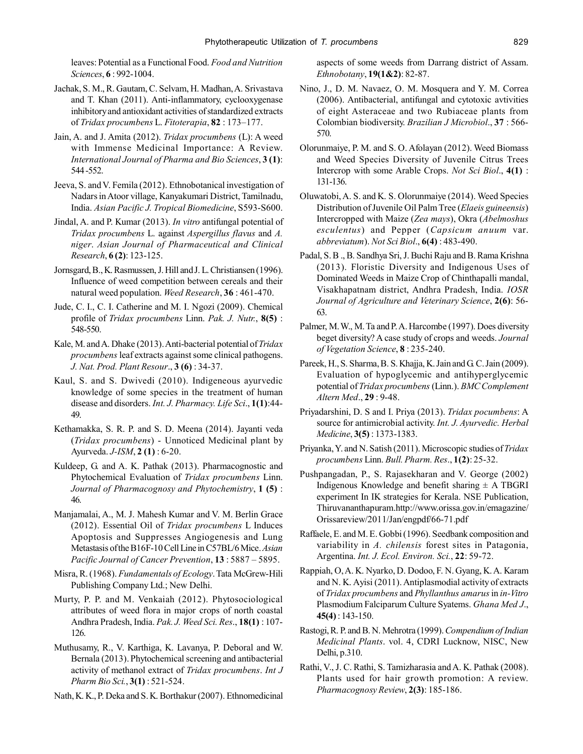leaves: Potential as a Functional Food. *Food and Nutrition Sciences*, **6** : 992-1004.

- Jachak, S. M., R. Gautam, C. Selvam, H. Madhan, A. Srivastava and T. Khan (2011). Anti-inflammatory, cyclooxygenase inhibitory and antioxidant activities of standardized extracts of *Tridax procumbens* L. *Fitoterapia*, **82** : 173–177.
- Jain, A. and J. Amita (2012). *Tridax procumbens* (L): A weed with Immense Medicinal Importance: A Review. *International Journal of Pharma and Bio Sciences*, **3 (1)**: 544 -552.
- Jeeva, S. and V. Femila (2012). Ethnobotanical investigation of Nadars in Atoor village, Kanyakumari District, Tamilnadu, India. *Asian Pacific J. Tropical Biomedicine*, S593-S600.
- Jindal, A. and P. Kumar (2013). *In vitro* antifungal potential of *Tridax procumbens* L. against *Aspergillus flavus* and *A. niger*. *Asian Journal of Pharmaceutical and Clinical Research*, **6 (2)**: 123-125.
- Jornsgard, B., K. Rasmussen, J. Hill and J. L. Christiansen (1996). Influence of weed competition between cereals and their natural weed population. *Weed Research*, **36** : 461-470.
- Jude, C. I., C. I. Catherine and M. I. Ngozi (2009). Chemical profile of *Tridax procumbens* Linn. *Pak. J. Nutr.*, **8(5)** : 548-550.
- Kale, M. and A. Dhake (2013). Anti-bacterial potential of *Tridax procumbens* leaf extracts against some clinical pathogens. *J. Nat. Prod. Plant Resour*., **3 (6)** : 34-37.
- Kaul, S. and S. Dwivedi (2010). Indigeneous ayurvedic knowledge of some species in the treatment of human disease and disorders. *Int. J. Pharmacy. Life Sci*., **1(1)**:44- 49.
- Kethamakka, S. R. P. and S. D. Meena (2014). Jayanti veda (*Tridax procumbens*) - Unnoticed Medicinal plant by Ayurveda. *J-ISM*, **2 (1)** : 6-20.
- Kuldeep, G. and A. K. Pathak (2013). Pharmacognostic and Phytochemical Evaluation of *Tridax procumbens* Linn. *Journal of Pharmacognosy and Phytochemistry*, **1 (5)** : 46.
- Manjamalai, A., M. J. Mahesh Kumar and V. M. Berlin Grace (2012). Essential Oil of *Tridax procumbens* L Induces Apoptosis and Suppresses Angiogenesis and Lung Metastasis of the B16F-10 Cell Line in C57BL/6 Mice. *Asian Pacific Journal of Cancer Prevention*, **13** : 5887 – 5895.
- Misra, R. (1968). *Fundamentals of Ecology*. Tata McGrew-Hili Publishing Company Ltd.; New Delhi.
- Murty, P. P. and M. Venkaiah (2012). Phytosociological attributes of weed flora in major crops of north coastal Andhra Pradesh, India. *Pak. J. Weed Sci. Res*., **18(1)** : 107- 126.
- Muthusamy, R., V. Karthiga, K. Lavanya, P. Deboral and W. Bernala (2013). Phytochemical screening and antibacterial activity of methanol extract of *Tridax procumbens*. *Int J Pharm Bio Sci.*, **3(1)** : 521-524.
- Nath, K. K., P. Deka and S. K. Borthakur (2007). Ethnomedicinal

aspects of some weeds from Darrang district of Assam. *Ethnobotany*, **19(1&2)**: 82-87.

- Nino, J., D. M. Navaez, O. M. Mosquera and Y. M. Correa (2006). Antibacterial, antifungal and cytotoxic avtivities of eight Asteraceae and two Rubiaceae plants from Colombian biodiversity. *Brazilian J Microbiol*., **37** : 566- 570.
- Olorunmaiye, P. M. and S. O. Afolayan (2012). Weed Biomass and Weed Species Diversity of Juvenile Citrus Trees Intercrop with some Arable Crops. *Not Sci Biol*., **4(1)** : 131-136.
- Oluwatobi, A. S. and K. S. Olorunmaiye (2014). Weed Species Distribution of Juvenile Oil Palm Tree (*Elaeis guineensis*) Intercropped with Maize (*Zea mays*), Okra (*Abelmoshus esculentus*) and Pepper (*Capsicum anuum* var. *abbreviatum*). *Not Sci Biol*., **6(4)** : 483-490.
- Padal, S. B ., B. Sandhya Sri, J. Buchi Raju and B. Rama Krishna (2013). Floristic Diversity and Indigenous Uses of Dominated Weeds in Maize Crop of Chinthapalli mandal, Visakhapatnam district, Andhra Pradesh, India. *IOSR Journal of Agriculture and Veterinary Science*, **2(6)**: 56- 63.
- Palmer, M. W., M. Ta and P. A. Harcombe (1997). Does diversity beget diversity? A case study of crops and weeds. *Journal of Vegetation Science*, **8** : 235-240.
- Pareek, H., S. Sharma, B. S. Khajja, K. Jain and G. C. Jain (2009). Evaluation of hypoglycemic and antihyperglycemic potential of *Tridax procumbens* (Linn.). *BMC Complement Altern Med*., **29** : 9-48.
- Priyadarshini, D. S and I. Priya (2013). *Tridax pocumbens*: A source for antimicrobial activity. *Int. J. Ayurvedic. Herbal Medicine*, **3(5)** : 1373-1383.
- Priyanka, Y. and N. Satish (2011). Microscopic studies of *Tridax procumbens* Linn. *Bull. Pharm. Res*., **1(2)**: 25-32.
- Pushpangadan, P., S. Rajasekharan and V. George (2002) Indigenous Knowledge and benefit sharing  $\pm$  A TBGRI experiment In IK strategies for Kerala. NSE Publication, Thiruvananthapuram.http://www.orissa.gov.in/emagazine/ Orissareview/2011/Jan/engpdf/66-71.pdf
- Raffaele, E. and M. E. Gobbi (1996). Seedbank composition and variability in *A. chilensis* forest sites in Patagonia, Argentina. *Int. J. Ecol. Environ. Sci.*, **22**: 59-72.
- Rappiah, O, A. K. Nyarko, D. Dodoo, F. N. Gyang, K. A. Karam and N. K. Ayisi (2011). Antiplasmodial activity of extracts of *Tridax procumbens* and *Phyllanthus amarus* in *in-Vitro* Plasmodium Falciparum Culture Syatems. *Ghana Med J*., **45(4)** : 143-150.
- Rastogi, R. P. and B. N. Mehrotra (1999). *Compendium of Indian Medicinal Plants*. vol. 4, CDRI Lucknow, NISC, New Delhi, p.310.
- Rathi, V., J. C. Rathi, S. Tamizharasia and A. K. Pathak (2008). Plants used for hair growth promotion: A review. *Pharmacognosy Review*, **2(3)**: 185-186.